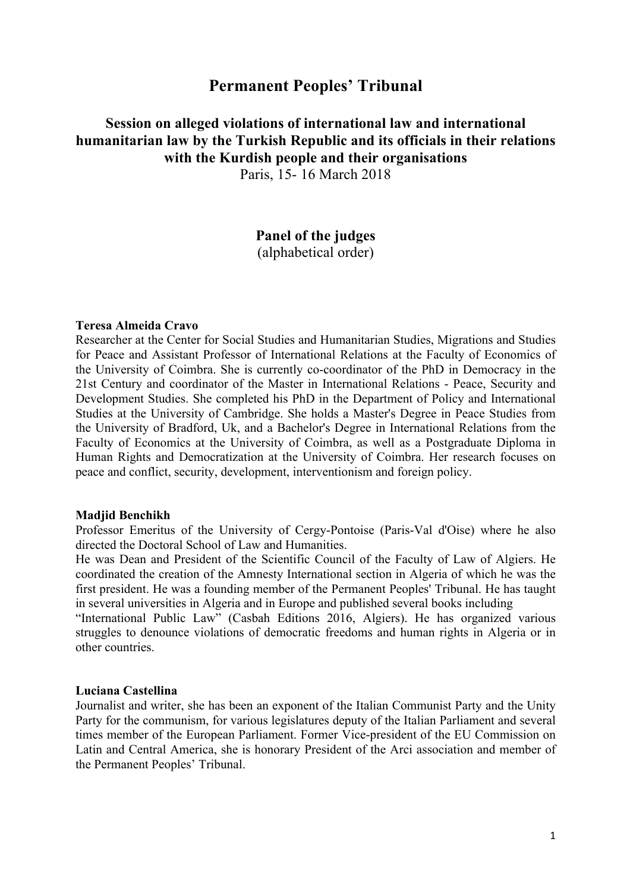## **Permanent Peoples' Tribunal**

# **Session on alleged violations of international law and international humanitarian law by the Turkish Republic and its officials in their relations with the Kurdish people and their organisations**

Paris, 15- 16 March 2018

### **Panel of the judges**  (alphabetical order)

#### **Teresa Almeida Cravo**

Researcher at the Center for Social Studies and Humanitarian Studies, Migrations and Studies for Peace and Assistant Professor of International Relations at the Faculty of Economics of the University of Coimbra. She is currently co-coordinator of the PhD in Democracy in the 21st Century and coordinator of the Master in International Relations - Peace, Security and Development Studies. She completed his PhD in the Department of Policy and International Studies at the University of Cambridge. She holds a Master's Degree in Peace Studies from the University of Bradford, Uk, and a Bachelor's Degree in International Relations from the Faculty of Economics at the University of Coimbra, as well as a Postgraduate Diploma in Human Rights and Democratization at the University of Coimbra. Her research focuses on peace and conflict, security, development, interventionism and foreign policy.

#### **Madjid Benchikh**

Professor Emeritus of the University of Cergy-Pontoise (Paris-Val d'Oise) where he also directed the Doctoral School of Law and Humanities.

He was Dean and President of the Scientific Council of the Faculty of Law of Algiers. He coordinated the creation of the Amnesty International section in Algeria of which he was the first president. He was a founding member of the Permanent Peoples' Tribunal. He has taught in several universities in Algeria and in Europe and published several books including

"International Public Law" (Casbah Editions 2016, Algiers). He has organized various struggles to denounce violations of democratic freedoms and human rights in Algeria or in other countries.

### **Luciana Castellina**

Journalist and writer, she has been an exponent of the Italian Communist Party and the Unity Party for the communism, for various legislatures deputy of the Italian Parliament and several times member of the European Parliament. Former Vice-president of the EU Commission on Latin and Central America, she is honorary President of the Arci association and member of the Permanent Peoples' Tribunal.